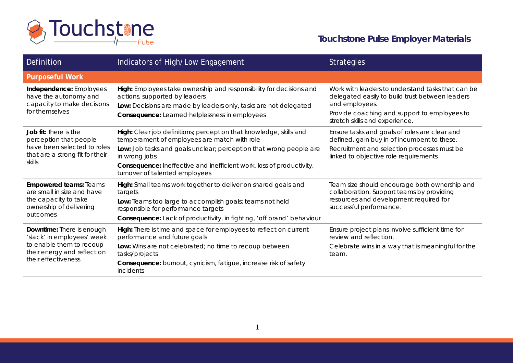

**Touchstone Pulse Employer Materials**

| Definition                                                                                                                                | Indicators of High/Low Engagement                                                                                                                                                                                                                                                                                   | <b>Strategies</b>                                                                                                                                                                                        |
|-------------------------------------------------------------------------------------------------------------------------------------------|---------------------------------------------------------------------------------------------------------------------------------------------------------------------------------------------------------------------------------------------------------------------------------------------------------------------|----------------------------------------------------------------------------------------------------------------------------------------------------------------------------------------------------------|
| <b>Purposeful Work</b>                                                                                                                    |                                                                                                                                                                                                                                                                                                                     |                                                                                                                                                                                                          |
| Independence: Employees<br>have the autonomy and<br>capacity to make decisions<br>for themselves                                          | High: Employees take ownership and responsibility for decisions and<br>actions, supported by leaders<br>Low: Decisions are made by leaders only, tasks are not delegated<br><b>Consequence:</b> Learned helplessness in employees                                                                                   | Work with leaders to understand tasks that can be<br>delegated easily to build trust between leaders<br>and employees.<br>Provide coaching and support to employees to<br>stretch skills and experience. |
| <b>Job fit:</b> There is the<br>perception that people<br>have been selected to roles<br>that are a strong fit for their<br>skills        | High: Clear job definitions; perception that knowledge, skills and<br>temperament of employees are match with role<br>Low: Job tasks and goals unclear; perception that wrong people are<br>in wrong jobs<br>Consequence: Ineffective and inefficient work, loss of productivity,<br>turnover of talented employees | Ensure tasks and goals of roles are clear and<br>defined, gain buy in of incumbent to these.<br>Recruitment and selection processes must be<br>linked to objective role requirements.                    |
| <b>Empowered teams: Teams</b><br>are small in size and have<br>the capacity to take<br>ownership of delivering<br>outcomes                | High: Small teams work together to deliver on shared goals and<br>targets<br>Low: Teams too large to accomplish goals; teams not held<br>responsible for performance targets<br><b>Consequence:</b> Lack of productivity, in fighting, 'off brand' behaviour                                                        | Team size should encourage both ownership and<br>collaboration. Support teams by providing<br>resources and development required for<br>successful performance.                                          |
| Downtime: There is enough<br>'slack' in employees' week<br>to enable them to recoup<br>their energy and reflect on<br>their effectiveness | High: There is time and space for employees to reflect on current<br>performance and future goals<br>Low: Wins are not celebrated; no time to recoup between<br>tasks/projects<br>Consequence: burnout, cynicism, fatigue, increase risk of safety<br>incidents                                                     | Ensure project plans involve sufficient time for<br>review and reflection.<br>Celebrate wins in a way that is meaningful for the<br>team.                                                                |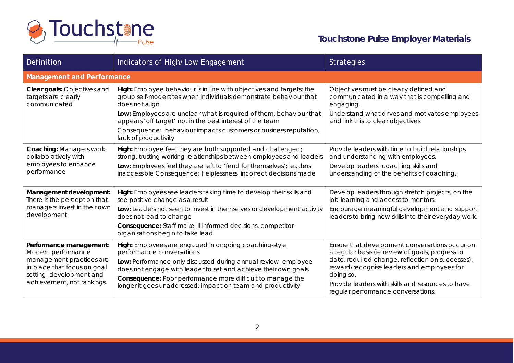

**Touchstone Pulse Employer Materials**

| Definition                                                                                                                                                         | Indicators of High/Low Engagement                                                                                                                                                                                                                                                                                                                                                          | <b>Strategies</b>                                                                                                                                                                                                                                                                                            |  |
|--------------------------------------------------------------------------------------------------------------------------------------------------------------------|--------------------------------------------------------------------------------------------------------------------------------------------------------------------------------------------------------------------------------------------------------------------------------------------------------------------------------------------------------------------------------------------|--------------------------------------------------------------------------------------------------------------------------------------------------------------------------------------------------------------------------------------------------------------------------------------------------------------|--|
| <b>Management and Performance</b>                                                                                                                                  |                                                                                                                                                                                                                                                                                                                                                                                            |                                                                                                                                                                                                                                                                                                              |  |
| Clear goals: Objectives and<br>targets are clearly<br>communicated                                                                                                 | High: Employee behaviour is in line with objectives and targets; the<br>group self-moderates when individuals demonstrate behaviour that<br>does not align<br>Low: Employees are unclear what is required of them; behaviour that<br>appears 'off target' not in the best interest of the team<br>Consequence: behaviour impacts customers or business reputation,<br>lack of productivity | Objectives must be clearly defined and<br>communicated in a way that is compelling and<br>engaging.<br>Understand what drives and motivates employees<br>and link this to clear objectives.                                                                                                                  |  |
| <b>Coaching: Managers work</b><br>collaboratively with<br>employees to enhance<br>performance                                                                      | High: Employee feel they are both supported and challenged;<br>strong, trusting working relationships between employees and leaders<br>Low: Employees feel they are left to 'fend for themselves'; leaders<br>inaccessible Consequence: Helplessness, incorrect decisions made                                                                                                             | Provide leaders with time to build relationships<br>and understanding with employees.<br>Develop leaders' coaching skills and<br>understanding of the benefits of coaching.                                                                                                                                  |  |
| Management development:<br>There is the perception that<br>managers invest in their own<br>development                                                             | High: Employees see leaders taking time to develop their skills and<br>see positive change as a result<br>Low: Leaders not seen to invest in themselves or development activity<br>does not lead to change<br><b>Consequence:</b> Staff make ill-informed decisions, competitor<br>organisations begin to take lead                                                                        | Develop leaders through stretch projects, on the<br>job learning and access to mentors.<br>Encourage meaningful development and support<br>leaders to bring new skills into their everyday work.                                                                                                             |  |
| Performance management:<br>Modern performance<br>management practices are<br>in place that focus on goal<br>setting, development and<br>achievement, not rankings. | High: Employees are engaged in ongoing coaching-style<br>performance conversations<br>Low: Performance only discussed during annual review, employee<br>does not engage with leader to set and achieve their own goals<br>Consequence: Poor performance more difficult to manage the<br>longer it goes unaddressed; impact on team and productivity                                        | Ensure that development conversations occur on<br>a regular basis (ie review of goals, progress to<br>date, required change, reflection on successes);<br>reward/recognise leaders and employees for<br>doing so.<br>Provide leaders with skills and resources to have<br>regular performance conversations. |  |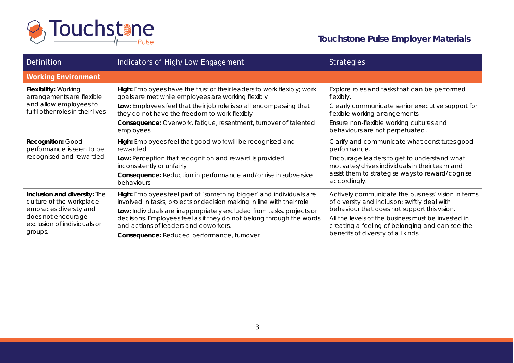

## **Touchstone Pulse Employer Materials**

| Definition                                                                                                                                         | Indicators of High/Low Engagement                                                                                                                                                      | <b>Strategies</b>                                                                                                                                     |
|----------------------------------------------------------------------------------------------------------------------------------------------------|----------------------------------------------------------------------------------------------------------------------------------------------------------------------------------------|-------------------------------------------------------------------------------------------------------------------------------------------------------|
| <b>Working Environment</b>                                                                                                                         |                                                                                                                                                                                        |                                                                                                                                                       |
| Flexibility: Working<br>arrangements are flexible<br>and allow employees to<br>fulfil other roles in their lives                                   | High: Employees have the trust of their leaders to work flexibly; work<br>goals are met while employees are working flexibly                                                           | Explore roles and tasks that can be performed<br>flexibly.                                                                                            |
|                                                                                                                                                    | Low: Employees feel that their job role is so all encompassing that<br>they do not have the freedom to work flexibly                                                                   | Clearly communicate senior executive support for<br>flexible working arrangements.                                                                    |
|                                                                                                                                                    | Consequence: Overwork, fatigue, resentment, turnover of talented<br>employees                                                                                                          | Ensure non-flexible working cultures and<br>behaviours are not perpetuated.                                                                           |
| Recognition: Good<br>performance is seen to be<br>recognised and rewarded                                                                          | High: Employees feel that good work will be recognised and<br>rewarded                                                                                                                 | Clarify and communicate what constitutes good<br>performance.                                                                                         |
|                                                                                                                                                    | Low: Perception that recognition and reward is provided<br>inconsistently or unfairly                                                                                                  | Encourage leaders to get to understand what<br>motivates/drives individuals in their team and                                                         |
|                                                                                                                                                    | <b>Consequence:</b> Reduction in performance and/or rise in subversive<br>behaviours                                                                                                   | assist them to strategise ways to reward/cognise<br>accordingly.                                                                                      |
| Inclusion and diversity: The<br>culture of the workplace<br>embraces diversity and<br>does not encourage<br>exclusion of individuals or<br>groups. | High: Employees feel part of 'something bigger' and individuals are<br>involved in tasks, projects or decision making in line with their role                                          | Actively communicate the business' vision in terms<br>of diversity and inclusion; swiftly deal with                                                   |
|                                                                                                                                                    | Low: Individuals are inappropriately excluded from tasks, projects or<br>decisions. Employees feel as if they do not belong through the words<br>and actions of leaders and coworkers. | behaviour that does not support this vision.<br>All the levels of the business must be invested in<br>creating a feeling of belonging and can see the |
|                                                                                                                                                    | Consequence: Reduced performance, turnover                                                                                                                                             | benefits of diversity of all kinds.                                                                                                                   |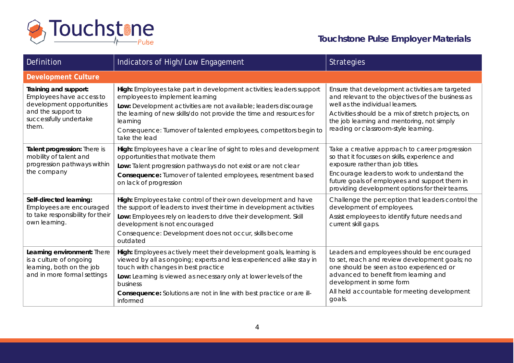

**Touchstone Pulse Employer Materials**

| Definition                                                                                                                              | Indicators of High/Low Engagement                                                                                                                                                                                                                                                                                                                      | <b>Strategies</b>                                                                                                                                                                                                                                                                     |  |
|-----------------------------------------------------------------------------------------------------------------------------------------|--------------------------------------------------------------------------------------------------------------------------------------------------------------------------------------------------------------------------------------------------------------------------------------------------------------------------------------------------------|---------------------------------------------------------------------------------------------------------------------------------------------------------------------------------------------------------------------------------------------------------------------------------------|--|
| <b>Development Culture</b>                                                                                                              |                                                                                                                                                                                                                                                                                                                                                        |                                                                                                                                                                                                                                                                                       |  |
| Training and support:<br>Employees have access to<br>development opportunities<br>and the support to<br>successfully undertake<br>them. | High: Employees take part in development activities; leaders support<br>employees to implement learning<br>Low: Development activities are not available; leaders discourage<br>the learning of new skills/do not provide the time and resources for<br>learning<br>Consequence: Turnover of talented employees, competitors begin to<br>take the lead | Ensure that development activities are targeted<br>and relevant to the objectives of the business as<br>well as the individual learners.<br>Activities should be a mix of stretch projects, on<br>the job learning and mentoring, not simply<br>reading or classroom-style learning.  |  |
| Talent progression: There is<br>mobility of talent and<br>progression pathways within<br>the company                                    | High: Employees have a clear line of sight to roles and development<br>opportunities that motivate them<br>Low: Talent progression pathways do not exist or are not clear<br>Consequence: Turnover of talented employees, resentment based<br>on lack of progression                                                                                   | Take a creative approach to career progression<br>so that it focusses on skills, experience and<br>exposure rather than job titles.<br>Encourage leaders to work to understand the<br>future goals of employees and support them in<br>providing development options for their teams. |  |
| Self-directed learning:<br>Employees are encouraged<br>to take responsibility for their<br>own learning.                                | High: Employees take control of their own development and have<br>the support of leaders to invest their time in development activities<br>Low: Employees rely on leaders to drive their development. Skill<br>development is not encouraged<br>Consequence: Development does not occur, skills become<br>outdated                                     | Challenge the perception that leaders control the<br>development of employees.<br>Assist employees to identify future needs and<br>current skill gaps.                                                                                                                                |  |
| Learning environment: There<br>is a culture of ongoing<br>learning, both on the job<br>and in more formal settings                      | High: Employees actively meet their development goals, learning is<br>viewed by all as ongoing; experts and less experienced alike stay in<br>touch with changes in best practice<br>Low: Learning is viewed as necessary only at lower levels of the<br>business<br>Consequence: Solutions are not in line with best practice or are ill-<br>informed | Leaders and employees should be encouraged<br>to set, reach and review development goals; no<br>one should be seen as too experienced or<br>advanced to benefit from learning and<br>development in some form<br>All held accountable for meeting development<br>goals.               |  |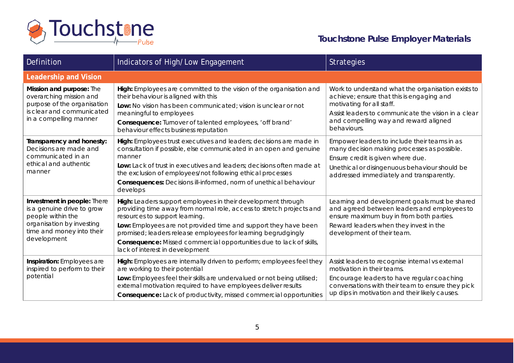

**Touchstone Pulse Employer Materials**

| Definition                                                                                                                                              | Indicators of High/Low Engagement                                                                                                                                                                                                                                                                                                                                                                                    | <b>Strategies</b>                                                                                                                                                                                                                           |  |
|---------------------------------------------------------------------------------------------------------------------------------------------------------|----------------------------------------------------------------------------------------------------------------------------------------------------------------------------------------------------------------------------------------------------------------------------------------------------------------------------------------------------------------------------------------------------------------------|---------------------------------------------------------------------------------------------------------------------------------------------------------------------------------------------------------------------------------------------|--|
| <b>Leadership and Vision</b>                                                                                                                            |                                                                                                                                                                                                                                                                                                                                                                                                                      |                                                                                                                                                                                                                                             |  |
| Mission and purpose: The<br>overarching mission and<br>purpose of the organisation<br>is clear and communicated<br>in a compelling manner               | High: Employees are committed to the vision of the organisation and<br>their behaviour is aligned with this<br>Low: No vision has been communicated; vision is unclear or not<br>meaningful to employees<br>Consequence: Turnover of talented employees, 'off brand'<br>behaviour effects business reputation                                                                                                        | Work to understand what the organisation exists to<br>achieve; ensure that this is engaging and<br>motivating for all staff.<br>Assist leaders to communicate the vision in a clear<br>and compelling way and reward aligned<br>behaviours. |  |
| Transparency and honesty:<br>Decisions are made and<br>communicated in an<br>ethical and authentic<br>manner                                            | High: Employees trust executives and leaders; decisions are made in<br>consultation if possible, else communicated in an open and genuine<br>manner<br>Low: Lack of trust in executives and leaders; decisions often made at<br>the exclusion of employees/not following ethical processes<br>Consequences: Decisions ill-informed, norm of unethical behaviour<br>develops                                          | Empower leaders to include their teams in as<br>many decision making processes as possible.<br>Ensure credit is given where due.<br>Unethical or disingenuous behaviour should be<br>addressed immediately and transparently.               |  |
| Investment in people: There<br>is a genuine drive to grow<br>people within the<br>organisation by investing<br>time and money into their<br>development | High: Leaders support employees in their development through<br>providing time away from normal role, access to stretch projects and<br>resources to support learning.<br>Low: Employees are not provided time and support they have been<br>promised; leaders release employees for learning begrudgingly<br>Consequence: Missed commercial opportunities due to lack of skills,<br>lack of interest in development | Learning and development goals must be shared<br>and agreed between leaders and employees to<br>ensure maximum buy in from both parties.<br>Reward leaders when they invest in the<br>development of their team.                            |  |
| Inspiration: Employees are<br>inspired to perform to their<br>potential                                                                                 | High: Employees are internally driven to perform; employees feel they<br>are working to their potential<br>Low: Employees feel their skills are undervalued or not being utilised;<br>external motivation required to have employees deliver results<br><b>Consequence:</b> Lack of productivity, missed commercial opportunities                                                                                    | Assist leaders to recognise internal vs external<br>motivation in their teams.<br>Encourage leaders to have regular coaching<br>conversations with their team to ensure they pick<br>up dips in motivation and their likely causes.         |  |